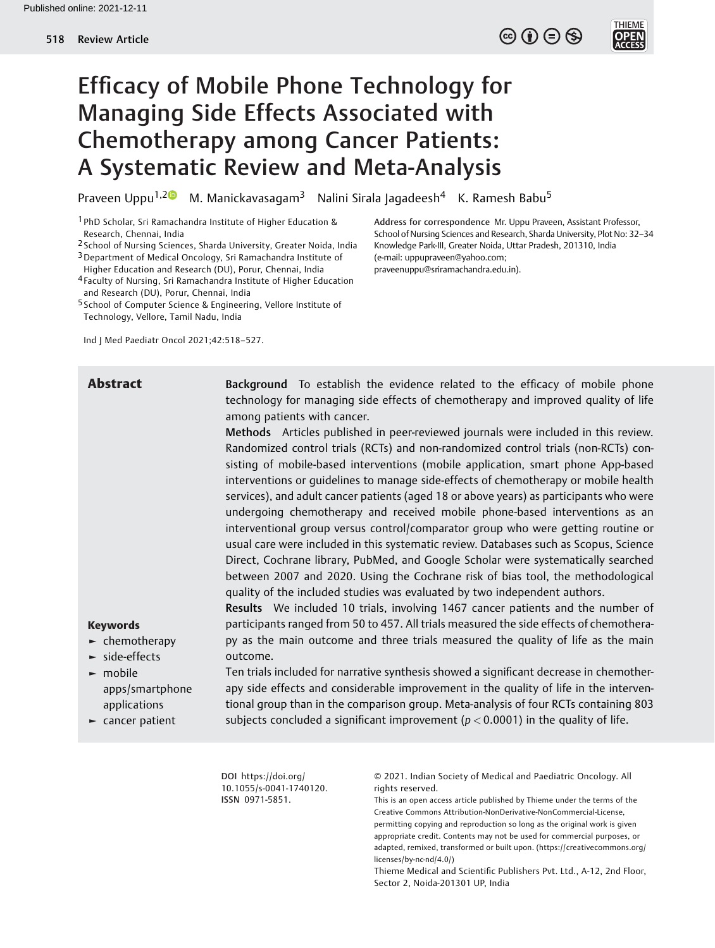# Efficacy of Mobile Phone Technology for Managing Side Effects Associated with Chemotherapy among Cancer Patients: A Systematic Review and Meta-Analysis

Praveen Uppu<sup>1,2</sup> M. Manickavasagam<sup>3</sup> Nalini Sirala Jagadeesh<sup>4</sup> K. Ramesh Babu<sup>5</sup>

1 PhD Scholar, Sri Ramachandra Institute of Higher Education & Research, Chennai, India

2 School of Nursing Sciences, Sharda University, Greater Noida, India

3Department of Medical Oncology, Sri Ramachandra Institute of Higher Education and Research (DU), Porur, Chennai, India

4 Faculty of Nursing, Sri Ramachandra Institute of Higher Education and Research (DU), Porur, Chennai, India

5 School of Computer Science & Engineering, Vellore Institute of Technology, Vellore, Tamil Nadu, India

Ind J Med Paediatr Oncol 2021;42:518–527.

Abstract Background To establish the evidence related to the efficacy of mobile phone technology for managing side effects of chemotherapy and improved quality of life among patients with cancer.

> Methods Articles published in peer-reviewed journals were included in this review. Randomized control trials (RCTs) and non-randomized control trials (non-RCTs) consisting of mobile-based interventions (mobile application, smart phone App-based interventions or guidelines to manage side-effects of chemotherapy or mobile health services), and adult cancer patients (aged 18 or above years) as participants who were undergoing chemotherapy and received mobile phone-based interventions as an interventional group versus control/comparator group who were getting routine or usual care were included in this systematic review. Databases such as Scopus, Science Direct, Cochrane library, PubMed, and Google Scholar were systematically searched between 2007 and 2020. Using the Cochrane risk of bias tool, the methodological quality of the included studies was evaluated by two independent authors.

> Results We included 10 trials, involving 1467 cancer patients and the number of participants ranged from 50 to 457. All trials measured the side effects of chemotherapy as the main outcome and three trials measured the quality of life as the main outcome.

# Keywords

- ► chemotherapy
- ► side-effects
- ► mobile apps/smartphone applications
- ► cancer patient

Ten trials included for narrative synthesis showed a significant decrease in chemotherapy side effects and considerable improvement in the quality of life in the interventional group than in the comparison group. Meta-analysis of four RCTs containing 803 subjects concluded a significant improvement ( $p < 0.0001$ ) in the quality of life.

DOI [https://doi.org/](https://doi.org/10.1055/s-0041-1740120) [10.1055/s-0041-1740120](https://doi.org/10.1055/s-0041-1740120). ISSN 0971-5851.

© 2021. Indian Society of Medical and Paediatric Oncology. All rights reserved.

This is an open access article published by Thieme under the terms of the Creative Commons Attribution-NonDerivative-NonCommercial-License, permitting copying and reproduction so long as the original work is given appropriate credit. Contents may not be used for commercial purposes, or adapted, remixed, transformed or built upon. (https://creativecommons.org/ licenses/by-nc-nd/4.0/)

Thieme Medical and Scientific Publishers Pvt. Ltd., A-12, 2nd Floor, Sector 2, Noida-201301 UP, India

Address for correspondence Mr. Uppu Praveen, Assistant Professor, School of Nursing Sciences and Research, Sharda University, Plot No: 32–34 Knowledge Park-III, Greater Noida, Uttar Pradesh, 201310, India (e-mail: [uppupraveen@yahoo.com](mailto:uppupraveen@yahoo.com); [praveenuppu@sriramachandra.edu.in](mailto:praveenuppu@sriramachandra.edu.in)).

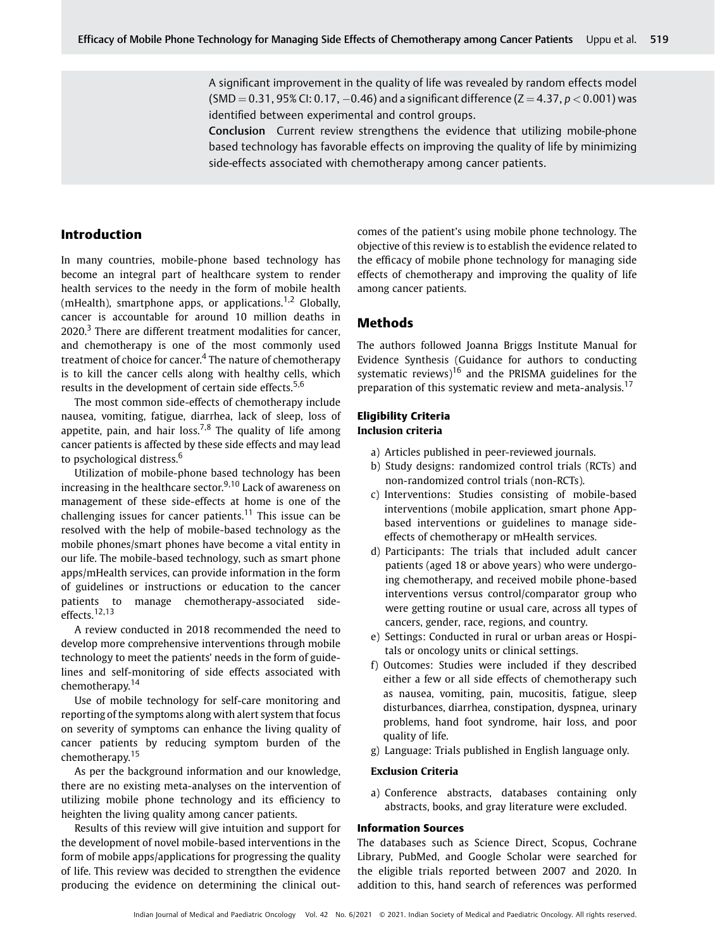A significant improvement in the quality of life was revealed by random effects model  $(SMD = 0.31, 95\%$  CI:  $0.17, -0.46$ ) and a significant difference (Z = 4.37,  $p < 0.001$ ) was identified between experimental and control groups.

Conclusion Current review strengthens the evidence that utilizing mobile-phone based technology has favorable effects on improving the quality of life by minimizing side-effects associated with chemotherapy among cancer patients.

# Introduction

In many countries, mobile-phone based technology has become an integral part of healthcare system to render health services to the needy in the form of mobile health (mHealth), smartphone apps, or applications.<sup>1,2</sup> Globally, cancer is accountable for around 10 million deaths in  $2020$ .<sup>3</sup> There are different treatment modalities for cancer, and chemotherapy is one of the most commonly used treatment of choice for cancer.<sup>4</sup> The nature of chemotherapy is to kill the cancer cells along with healthy cells, which results in the development of certain side effects.<sup>5,6</sup>

The most common side-effects of chemotherapy include nausea, vomiting, fatigue, diarrhea, lack of sleep, loss of appetite, pain, and hair loss.<sup>7,8</sup> The quality of life among cancer patients is affected by these side effects and may lead to psychological distress.<sup>6</sup>

Utilization of mobile-phone based technology has been increasing in the healthcare sector. $9,10$  Lack of awareness on management of these side-effects at home is one of the challenging issues for cancer patients.<sup>11</sup> This issue can be resolved with the help of mobile-based technology as the mobile phones/smart phones have become a vital entity in our life. The mobile-based technology, such as smart phone apps/mHealth services, can provide information in the form of guidelines or instructions or education to the cancer patients to manage chemotherapy-associated sideeffects.12,13

A review conducted in 2018 recommended the need to develop more comprehensive interventions through mobile technology to meet the patients' needs in the form of guidelines and self-monitoring of side effects associated with chemotherapy.<sup>14</sup>

Use of mobile technology for self-care monitoring and reporting of the symptoms along with alert system that focus on severity of symptoms can enhance the living quality of cancer patients by reducing symptom burden of the chemotherapy.<sup>15</sup>

As per the background information and our knowledge, there are no existing meta-analyses on the intervention of utilizing mobile phone technology and its efficiency to heighten the living quality among cancer patients.

Results of this review will give intuition and support for the development of novel mobile-based interventions in the form of mobile apps/applications for progressing the quality of life. This review was decided to strengthen the evidence producing the evidence on determining the clinical outcomes of the patient's using mobile phone technology. The objective of this review is to establish the evidence related to the efficacy of mobile phone technology for managing side effects of chemotherapy and improving the quality of life among cancer patients.

# Methods

The authors followed Joanna Briggs Institute Manual for Evidence Synthesis (Guidance for authors to conducting systematic reviews)<sup>16</sup> and the PRISMA guidelines for the preparation of this systematic review and meta-analysis.<sup>17</sup>

#### Eligibility Criteria Inclusion criteria

- a) Articles published in peer-reviewed journals.
- b) Study designs: randomized control trials (RCTs) and non-randomized control trials (non-RCTs).
- c) Interventions: Studies consisting of mobile-based interventions (mobile application, smart phone Appbased interventions or guidelines to manage sideeffects of chemotherapy or mHealth services.
- d) Participants: The trials that included adult cancer patients (aged 18 or above years) who were undergoing chemotherapy, and received mobile phone-based interventions versus control/comparator group who were getting routine or usual care, across all types of cancers, gender, race, regions, and country.
- e) Settings: Conducted in rural or urban areas or Hospitals or oncology units or clinical settings.
- f) Outcomes: Studies were included if they described either a few or all side effects of chemotherapy such as nausea, vomiting, pain, mucositis, fatigue, sleep disturbances, diarrhea, constipation, dyspnea, urinary problems, hand foot syndrome, hair loss, and poor quality of life.
- g) Language: Trials published in English language only.

#### Exclusion Criteria

a) Conference abstracts, databases containing only abstracts, books, and gray literature were excluded.

#### Information Sources

The databases such as Science Direct, Scopus, Cochrane Library, PubMed, and Google Scholar were searched for the eligible trials reported between 2007 and 2020. In addition to this, hand search of references was performed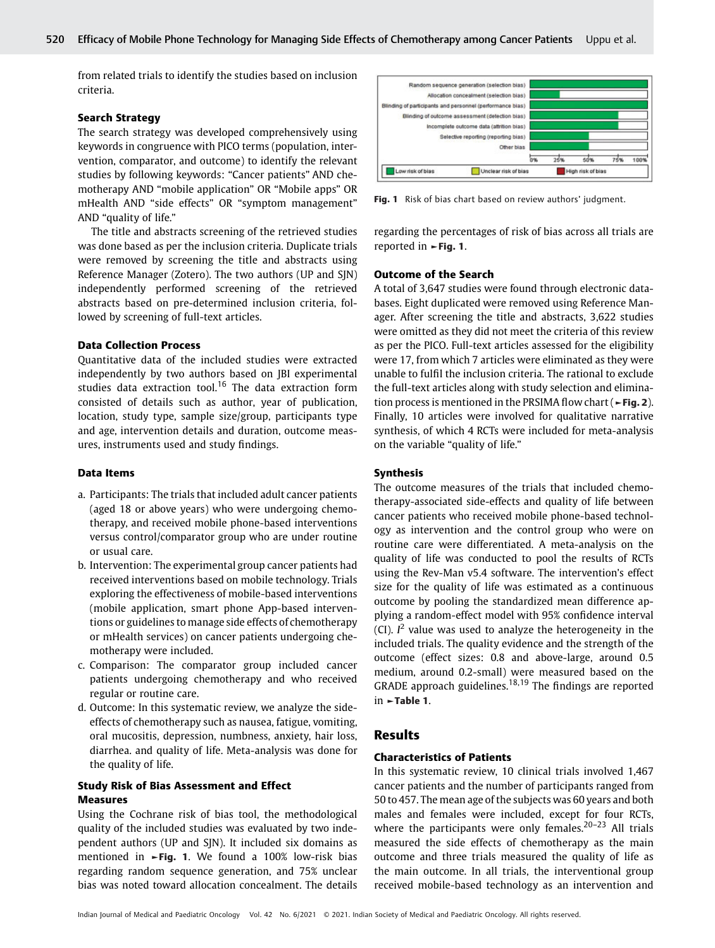from related trials to identify the studies based on inclusion criteria.

#### Search Strategy

The search strategy was developed comprehensively using keywords in congruence with PICO terms (population, intervention, comparator, and outcome) to identify the relevant studies by following keywords: "Cancer patients" AND chemotherapy AND "mobile application" OR "Mobile apps" OR mHealth AND "side effects" OR "symptom management" AND "quality of life."

The title and abstracts screening of the retrieved studies was done based as per the inclusion criteria. Duplicate trials were removed by screening the title and abstracts using Reference Manager (Zotero). The two authors (UP and SJN) independently performed screening of the retrieved abstracts based on pre-determined inclusion criteria, followed by screening of full-text articles.

#### Data Collection Process

Quantitative data of the included studies were extracted independently by two authors based on JBI experimental studies data extraction tool.<sup>16</sup> The data extraction form consisted of details such as author, year of publication, location, study type, sample size/group, participants type and age, intervention details and duration, outcome measures, instruments used and study findings.

#### Data Items

- a. Participants: The trials that included adult cancer patients (aged 18 or above years) who were undergoing chemotherapy, and received mobile phone-based interventions versus control/comparator group who are under routine or usual care.
- b. Intervention: The experimental group cancer patients had received interventions based on mobile technology. Trials exploring the effectiveness of mobile-based interventions (mobile application, smart phone App-based interventions or guidelines to manage side effects of chemotherapy or mHealth services) on cancer patients undergoing chemotherapy were included.
- c. Comparison: The comparator group included cancer patients undergoing chemotherapy and who received regular or routine care.
- d. Outcome: In this systematic review, we analyze the sideeffects of chemotherapy such as nausea, fatigue, vomiting, oral mucositis, depression, numbness, anxiety, hair loss, diarrhea. and quality of life. Meta-analysis was done for the quality of life.

#### Study Risk of Bias Assessment and Effect Measures

Using the Cochrane risk of bias tool, the methodological quality of the included studies was evaluated by two independent authors (UP and SJN). It included six domains as mentioned in ►Fig. 1. We found a 100% low-risk bias regarding random sequence generation, and 75% unclear bias was noted toward allocation concealment. The details



Fig. 1 Risk of bias chart based on review authors' judgment.

regarding the percentages of risk of bias across all trials are reported in ►Fig. 1.

#### Outcome of the Search

A total of 3,647 studies were found through electronic databases. Eight duplicated were removed using Reference Manager. After screening the title and abstracts, 3,622 studies were omitted as they did not meet the criteria of this review as per the PICO. Full-text articles assessed for the eligibility were 17, from which 7 articles were eliminated as they were unable to fulfil the inclusion criteria. The rational to exclude the full-text articles along with study selection and elimination process is mentioned in the PRSIMA flow chart (►Fig. 2). Finally, 10 articles were involved for qualitative narrative synthesis, of which 4 RCTs were included for meta-analysis on the variable "quality of life."

#### Synthesis

The outcome measures of the trials that included chemotherapy-associated side-effects and quality of life between cancer patients who received mobile phone-based technology as intervention and the control group who were on routine care were differentiated. A meta-analysis on the quality of life was conducted to pool the results of RCTs using the Rev-Man v5.4 software. The intervention's effect size for the quality of life was estimated as a continuous outcome by pooling the standardized mean difference applying a random-effect model with 95% confidence interval (CI).  $I^2$  value was used to analyze the heterogeneity in the included trials. The quality evidence and the strength of the outcome (effect sizes: 0.8 and above-large, around 0.5 medium, around 0.2-small) were measured based on the GRADE approach guidelines.<sup>18,19</sup> The findings are reported in ►Table 1.

#### Results

#### Characteristics of Patients

In this systematic review, 10 clinical trials involved 1,467 cancer patients and the number of participants ranged from 50 to 457. The mean age of the subjects was 60 years and both males and females were included, except for four RCTs, where the participants were only females.<sup>20–23</sup> All trials measured the side effects of chemotherapy as the main outcome and three trials measured the quality of life as the main outcome. In all trials, the interventional group received mobile-based technology as an intervention and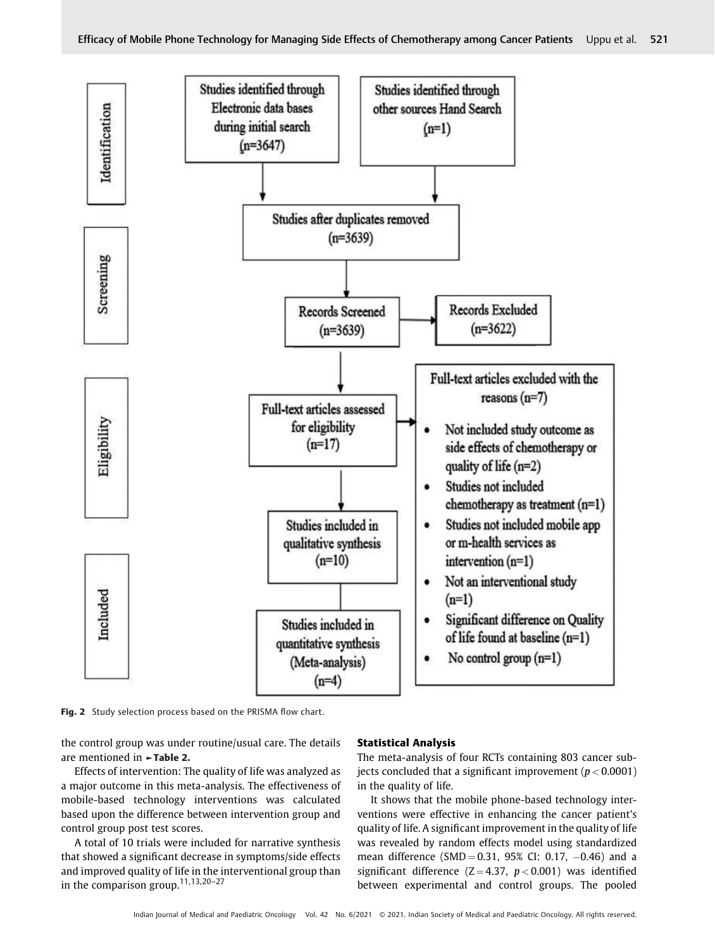

Fig. 2 Study selection process based on the PRISMA flow chart.

the control group was under routine/usual care. The details are mentioned in ►Table 2.

Effects of intervention: The quality of life was analyzed as a major outcome in this meta-analysis. The effectiveness of mobile-based technology interventions was calculated based upon the difference between intervention group and control group post test scores.

A total of 10 trials were included for narrative synthesis that showed a significant decrease in symptoms/side effects and improved quality of life in the interventional group than in the comparison group.11,13,20–<sup>27</sup>

#### Statistical Analysis

The meta-analysis of four RCTs containing 803 cancer subjects concluded that a significant improvement ( $p < 0.0001$ ) in the quality of life.

It shows that the mobile phone-based technology interventions were effective in enhancing the cancer patient's quality of life. A significant improvement in the quality of life was revealed by random effects model using standardized mean difference  $(SMD = 0.31, 95\% CI: 0.17, -0.46)$  and a significant difference  $(Z = 4.37, p < 0.001)$  was identified between experimental and control groups. The pooled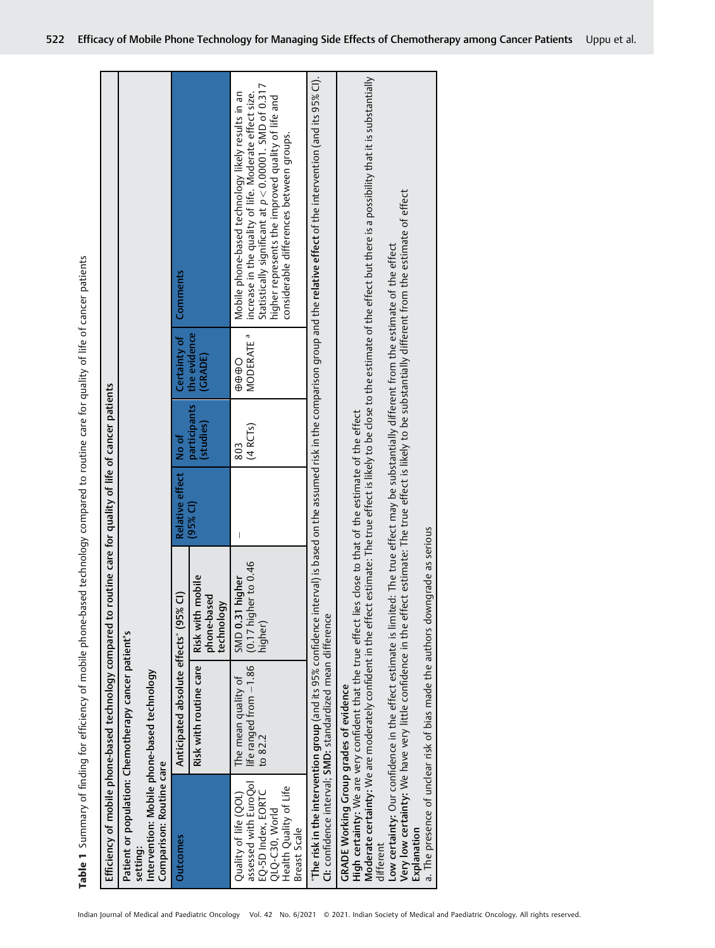Table 1 Summary of finding for efficiency of mobile phone-based technology compared to routine care for quality of life of cancer patients Table 1 Summary of finding for efficiency of mobile phone-based technology compared to routine care for quality of life of cancer patients

|                                                                                                                                  | Efficiency of mobile phone-based technology compared to routine care for quality of life of cancer patients                                                                                                                                                                                                                                          |                                                    |                                             |                           |                                   |                                                                                                                                                                                                                                                                                                     |
|----------------------------------------------------------------------------------------------------------------------------------|------------------------------------------------------------------------------------------------------------------------------------------------------------------------------------------------------------------------------------------------------------------------------------------------------------------------------------------------------|----------------------------------------------------|---------------------------------------------|---------------------------|-----------------------------------|-----------------------------------------------------------------------------------------------------------------------------------------------------------------------------------------------------------------------------------------------------------------------------------------------------|
| Comparison: Routine care<br>setting:                                                                                             | Patient or population: Chemotherapy cancer patient's<br>Intervention: Mobile phone-based technology                                                                                                                                                                                                                                                  |                                                    |                                             |                           |                                   |                                                                                                                                                                                                                                                                                                     |
| <b>Outcomes</b>                                                                                                                  | Anticipated absolute effects* (95%                                                                                                                                                                                                                                                                                                                   | ຣ                                                  | <b>Relative effect</b>                      | No of                     | Certainty of                      | Comments                                                                                                                                                                                                                                                                                            |
|                                                                                                                                  | Risk with routine care                                                                                                                                                                                                                                                                                                                               | Risk with mobile<br>phone-based<br>technology      | $(95\%$ CI)                                 | participants<br>(studies) | the evidence<br>(GRADE)           |                                                                                                                                                                                                                                                                                                     |
| assessed with EuroQol<br>Health Quality of Life<br>EO-5D Index, EORTC<br>Quality of life (QOL)<br>QLQ-C30, World<br>Breast Scale | life ranged from -1.86<br>The mean quality of<br>to 82.2                                                                                                                                                                                                                                                                                             | (0.17 higher to 0.46<br>SMD 0.31 higher<br>higher) | $\overline{\phantom{a}}$                    | (4 RCIs)<br>803           | MODERATE <sup>a</sup><br>$\theta$ | Statistically significant at $p < 0.00001$ . SMD of 0.317<br>increase in the quality of life. Moderate effect size.<br>Mobile phone-based technology likely results in an<br>higher represents the improved quality of life and<br>considerable differences between groups.                         |
|                                                                                                                                  | CI: confidence interval; SMD: standardized mean difference                                                                                                                                                                                                                                                                                           |                                                    |                                             |                           |                                   | "The risk in the intervention group (and its 95% confidence interval) is based on the assumed risk in the comparison group and the relative effect of the intervention (and its 95% CI).                                                                                                            |
| <b>GRADE Working Group grades of evidence</b><br>Explanation<br>different                                                        | Low certainty: Our confidence in the effect estimate is limited: The true effect may be substantially different from the estimate of the effect<br>High certainty: We are very confident that the true effect lies<br>Moderate certainty: We are moderately confident in the effect<br>a. The presence of unclear risk of bias made the authors down | igrade as serious                                  | close to that of the estimate of the effect |                           |                                   | estimate: The true effect is likely to be close to the estimate of the effect but there is a possibility that it is substantially<br>Very low certainty: We have very little confidence in the effect estimate: The true effect is likely to be substantially different from the estimate of effect |
|                                                                                                                                  |                                                                                                                                                                                                                                                                                                                                                      |                                                    |                                             |                           |                                   |                                                                                                                                                                                                                                                                                                     |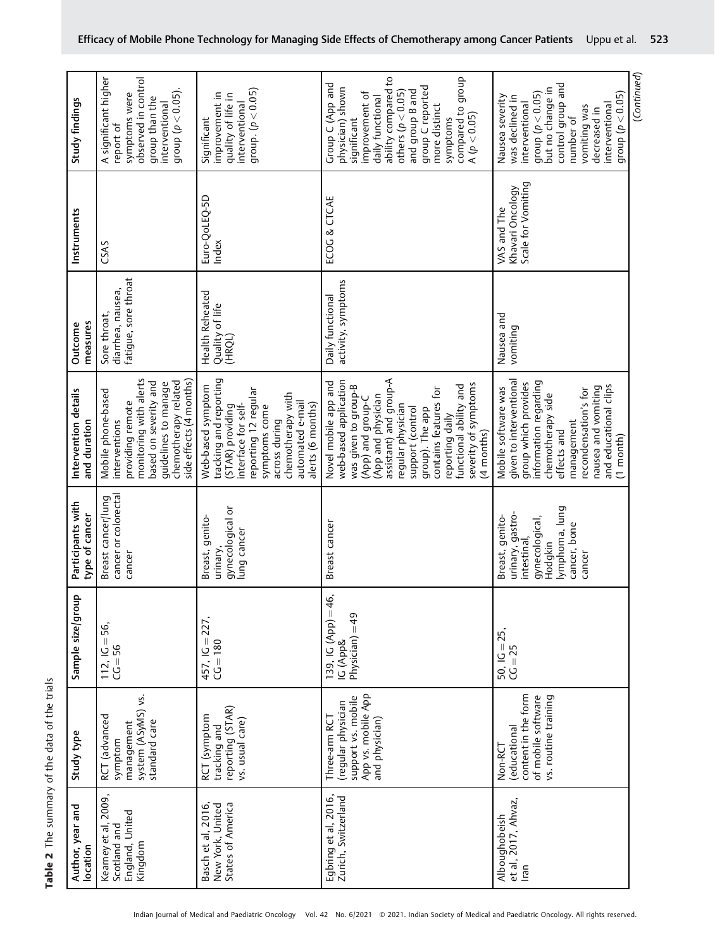|                                      |                                                                                                                                                                                       |                                                                                                                                                                                                                | dhoub                                                                                                                                                                                                                                                                                                                | (Continued)                                                                                                                                                                                                                                      |
|--------------------------------------|---------------------------------------------------------------------------------------------------------------------------------------------------------------------------------------|----------------------------------------------------------------------------------------------------------------------------------------------------------------------------------------------------------------|----------------------------------------------------------------------------------------------------------------------------------------------------------------------------------------------------------------------------------------------------------------------------------------------------------------------|--------------------------------------------------------------------------------------------------------------------------------------------------------------------------------------------------------------------------------------------------|
| Study findings                       | A significant higher<br>observed in control<br>group $(p < 0.05)$ .<br>symptoms were<br>group than the<br>interventional<br>report of                                                 | group. $(p < 0.05)$<br>improvement in<br>quality of life in<br>interventional<br>Significant                                                                                                                   | ability compared to<br>Group C (App and<br>group C reported<br>physician) shown<br>others $(p < 0.05)$<br>and group B and<br>improvement of<br>daily functional<br>more distinct<br>compared to<br>A (p < 0.05)<br>significant<br>symptoms                                                                           | control group and<br>but no change in<br>group $(p < 0.05)$<br>group $(p < 0.05)$<br>Nausea severity<br>was declined in<br>interventional<br>interventional<br>vomiting was<br>decreased in<br>number of                                         |
| Instruments                          | CSAS                                                                                                                                                                                  | Euro-QoLEQ-5D<br>Index                                                                                                                                                                                         | ECOG & CTCAE                                                                                                                                                                                                                                                                                                         | Scale for Vomiting<br>Khavari Oncology<br>VAS and The                                                                                                                                                                                            |
| measures<br>Outcome                  | fatigue, sore throat<br>diarrhea, nausea,<br>Sore throat,                                                                                                                             | Health Reheated<br>Quality of life<br>(HRQL)                                                                                                                                                                   | activity, symptoms<br>Daily functional                                                                                                                                                                                                                                                                               | Nausea and<br>vomiting                                                                                                                                                                                                                           |
| Intervention details<br>and duration | monitoring with alerts<br>side effects (4 months)<br>chemotherapy related<br>based on severity and<br>guidelines to manage<br>Mobile phone-based<br>providing remote<br>interventions | tracking and reporting<br>Web-based symptom<br>reporting 12 regular<br>chemotherapy with<br>automated e-mail<br>interface for self-<br>alerts (6 months)<br>(STAR) providing<br>symptoms come<br>across during | assistant) and group-A<br>web-based application<br>Novel mobile app and<br>severity of symptoms<br>was given to group-B<br>functional ability and<br>contains features for<br>(App and physician<br>(App) and group-C<br>regular physician<br>support (control<br>group). The app<br>reporting daily<br>$(4$ months) | given to interventional<br>information regarding<br>group which provides<br>and educational clips<br>Mobile software was<br>nausea and vomiting<br>recondensation's for<br>chemotherapy side<br>management<br>effects and<br>$(1 \text{ month})$ |
| Participants with<br>type of cancer  | Breast cancer/lung<br>cancer or colorectal<br>cancer                                                                                                                                  | gynecological or<br>Breast, genito-<br>lung cancer<br>urinary                                                                                                                                                  | Breast cancer                                                                                                                                                                                                                                                                                                        | lymphoma, lung<br>urinary, gastro-<br>Breast, genito-<br>gynecological,<br>cancer, bone<br>intestinal,<br>Hodgkin<br>cancer                                                                                                                      |
| Sample size/group                    | 56,<br>$112, 1G =$<br>$C = 56$                                                                                                                                                        | 457, IG = 227,<br>$CC = 180$                                                                                                                                                                                   | 139, IG $(App) = 46$ ,<br>$Physician) = 49$<br>IG (App&                                                                                                                                                                                                                                                              | 50, IG = 25,<br>CG = 25                                                                                                                                                                                                                          |
| Study type                           | system (ASyMS) vs.<br>RCT (advanced<br>standard care<br>management<br>symptom                                                                                                         | reporting (STAR)<br>RCT (symptom<br>vs. usual care)<br>tracking and                                                                                                                                            | App vs. mobile App<br>and physician)<br>support vs. mobile<br>(regular physician<br>Three-arm RCT                                                                                                                                                                                                                    | content in the form<br>of mobile software<br>vs. routine training<br>educational)<br>Non-RCT                                                                                                                                                     |
| Author, year and<br>location         | Kearney et al, 2009,<br>England, United<br>Scotland and<br>Kingdom                                                                                                                    | States of America<br>Basch et al, 2016,<br>New York, United                                                                                                                                                    | Egbring et al, 2016,<br>Zurich, Switzerland                                                                                                                                                                                                                                                                          | et al, 2017, Ahvaz,<br>Alboughobeish<br>Iran                                                                                                                                                                                                     |

Table 2 The summary of the data of the trials Table 2 The summary of the data of the trials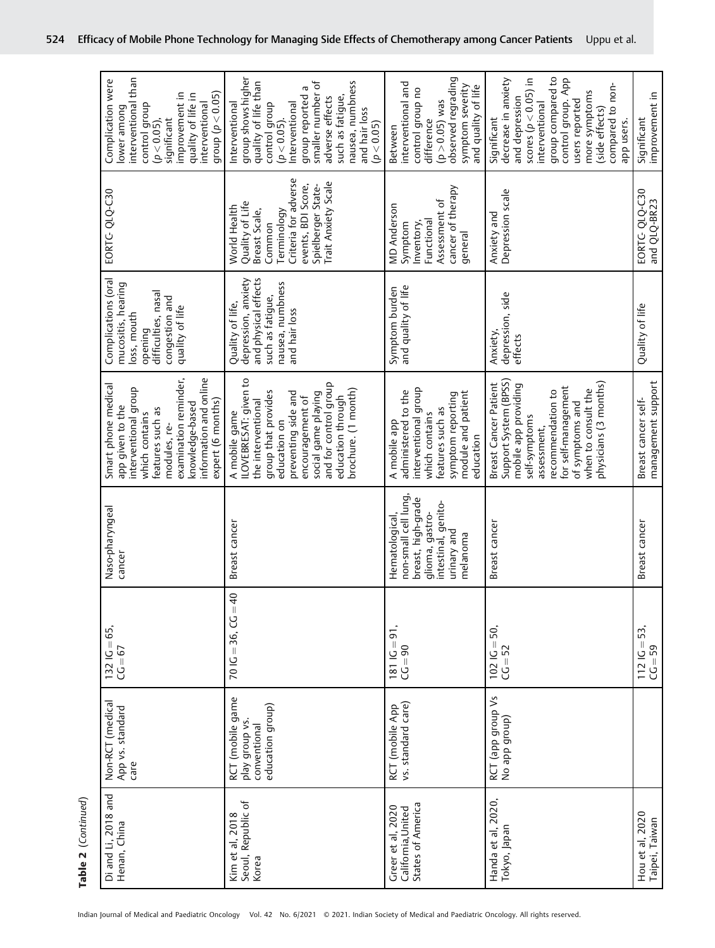| Di and Li, 2018 and<br>Henan, China                          | Non-RCT (medical<br>App vs. standard<br>care                           | $132$ IG = 65,<br>$C = 67$            | Naso-pharyngeal<br>cancer                                                                                                        | examination reminder,<br>information and online<br>Smart phone medical<br>interventional group<br>expert (6 months)<br>knowledge-based<br>app given to the<br>features such as<br>which contains<br>modules, re-                           | Complications (oral<br>mucositis, hearing<br>difficulties, nasal<br>congestion and<br>quality of life<br>loss, mouth<br>opening | EORTG QLQ-C30                                                                                                                                                               | interventional than<br>Complication were<br>improvement in<br>group $(p < 0.05)$<br>quality of life in<br>interventional<br>control group<br>lower among<br>$(p < 0.05)$ ,<br>significant                                                            |
|--------------------------------------------------------------|------------------------------------------------------------------------|---------------------------------------|----------------------------------------------------------------------------------------------------------------------------------|--------------------------------------------------------------------------------------------------------------------------------------------------------------------------------------------------------------------------------------------|---------------------------------------------------------------------------------------------------------------------------------|-----------------------------------------------------------------------------------------------------------------------------------------------------------------------------|------------------------------------------------------------------------------------------------------------------------------------------------------------------------------------------------------------------------------------------------------|
| Seoul, Republic of<br>Kim et al, 2018<br>Korea               | RCT (mobile game<br>education group)<br>play group vs.<br>conventional | $70 \text{ IC} = 36, \text{ CC} = 40$ | Breast cancer                                                                                                                    | ILOVEBRESAT: given to<br>and for control group<br>brochure. (1 month)<br>group that provides<br>social game playing<br>preventing side and<br>education through<br>encouragement of<br>the interventional<br>A mobile game<br>education on | and physical effects<br>depression, anxiety<br>nausea, numbness<br>such as fatigue,<br>Quality of life,<br>and hair loss        | Criteria for adverse<br><b>Trait Anxiety Scale</b><br>events, BDI Score,<br>Spielberger State-<br>Quality of Life<br>World Health<br>Breast Scale,<br>Terminology<br>Common | group shows higher<br>nausea, numbness<br>smaller number of<br>quality of life than<br>group reported a<br>such as fatique,<br>adverse effects<br>Interventional<br>Interventional<br>control group<br>and hair loss<br>$(p < 0.05)$ .<br>(p < 0.05) |
| States of America<br>Greer et al, 2020<br>California, United | vs. standard care)<br>RCT (mobile App                                  | $1811G = 91,$<br>$CC = 90$            | non-small cell lung<br>breast, high-grade<br>intestinal, genito-<br>glioma, gastro-<br>Hematological,<br>urinary and<br>melanoma | interventional group<br>administered to the<br>module and patient<br>symptom reporting<br>features such as<br>which contains<br>A mobile app<br>education                                                                                  | and quality of life<br>Symptom burden                                                                                           | cancer of therapy<br>Assessment of<br><b>MD Anderson</b><br>Functional<br>Inventory,<br>Symptom<br>general                                                                  | observed regrading<br>interventional and<br>symptom severity<br>and quality of life<br>control group no<br>( $p > 0.05$ ) was<br>difference<br>Between                                                                                               |
| Handa et al, 2020,<br>Tokyo, Japan                           | RCT (app group Vs<br>No app group)                                     | $102 \text{ IC} = 50,$<br>$CC = 52$   | Breast cancer                                                                                                                    | Support System (BPSS)<br>physicians (3 months)<br>Breast Cancer Patient<br>mobile app providing<br>for self-management<br>when to consult the<br>recommendation to<br>of symptoms and<br>self-symptoms<br>assessment.                      | depression, side<br>Anxiety,<br>effects                                                                                         | Depression scale<br>Anxiety and                                                                                                                                             | group compared to<br>decrease in anxiety<br>control group. App<br>scores ( $p < 0.05$ ) in<br>compared to non-<br>more symptoms<br>and depression<br>users reported<br>interventional<br>(side effects)<br>Significant<br>app users.                 |
| Hou et al, 2020<br>Taipei, Taiwan                            |                                                                        | $1121G = 53$<br>$CC = 59$             | Breast cancer                                                                                                                    | management support<br>Breast cancer self-                                                                                                                                                                                                  | Quality of life                                                                                                                 | EORTG-QLQ-C30<br>and QLQ-BR23                                                                                                                                               | improvement in<br>Significant                                                                                                                                                                                                                        |

Table 2 (Continued) Table 2 (Continued)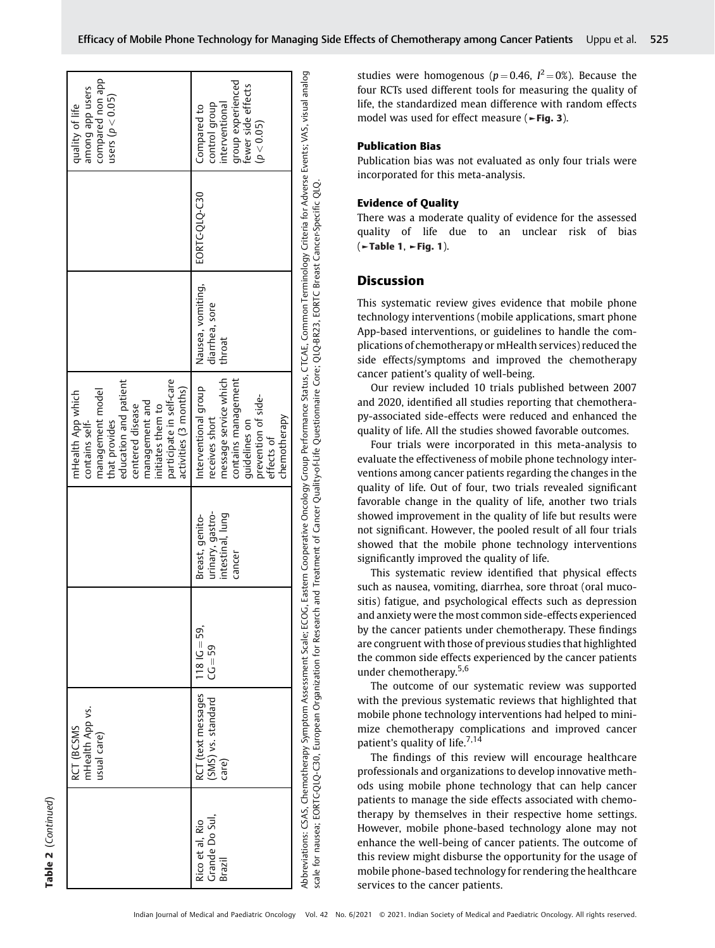|                                             | mHealth App vs.<br>RCT (BCSMS<br>usual care)      |                             |                                                                   | participate in self-care<br>education and patient<br>activities (3 months)<br>management model<br>mHealth App which<br>management and<br>centered disease<br>initiates them to<br>that provides<br>contains self-                                                                                                                                                                 |                                               |               | compared non app<br>among app users<br>users ( $p < 0.05$ )<br>quality of life                          |
|---------------------------------------------|---------------------------------------------------|-----------------------------|-------------------------------------------------------------------|-----------------------------------------------------------------------------------------------------------------------------------------------------------------------------------------------------------------------------------------------------------------------------------------------------------------------------------------------------------------------------------|-----------------------------------------------|---------------|---------------------------------------------------------------------------------------------------------|
| Grande Do Sul,<br>Rico et al, Rio<br>Brazil | RCT (text messages<br>(SMS) vs. standard<br>care) | $118$ IC = 59,<br>$CC = 59$ | urinary, qastro-<br>intestinal, lung<br>Breast, genito-<br>cancer | message service which<br>contains management<br>Interventional group<br>prevention of side-<br>receives short<br>chemotherapy<br>guidelines on<br>effects of                                                                                                                                                                                                                      | Nausea, vomiting,<br>diarrhea, sore<br>throat | EORTC-OLO-C30 | group experienced<br>fewer side effects<br>interventional<br>control qroup<br>Compared to<br>(p < 0.05) |
|                                             |                                                   |                             |                                                                   | Abbreviations: CSAS, Chemotherapy Symptom Assessment Scale; ECOG, Eastern Cooperative Oncology Group Performance Status, CTCAE, Common Terminology Criteria for Adverse Events; VAS, visual analog<br>scale for nausea; EORTC-QLQ-C30, European Organization for Research and Treatment of Cancer Quality-of-Life Questionnaire Core; QLQ-BR23, EORTC Breast Cancer-Specific QLQ. |                                               |               |                                                                                                         |

### Publication Bias

Publication bias was not evaluated as only four trials were incorporated for this meta-analysis.

#### Evidence of Quality

There was a moderate quality of evidence for the assessed quality of life due to an unclear risk of bias (►Table 1, ►Fig. 1).

# **Discussion**

This systematic review gives evidence that mobile phone technology interventions (mobile applications, smart phone App-based interventions, or guidelines to handle the complications of chemotherapy or mHealth services) reduced the side effects/symptoms and improved the chemotherapy cancer patient's quality of well-being.

Our review included 10 trials published between 2007 and 2020, identified all studies reporting that chemotherapy-associated side-effects were reduced and enhanced the quality of life. All the studies showed favorable outcomes.

Four trials were incorporated in this meta-analysis to evaluate the effectiveness of mobile phone technology interventions among cancer patients regarding the changes in the quality of life. Out of four, two trials revealed significant favorable change in the quality of life, another two trials showed improvement in the quality of life but results were not significant. However, the pooled result of all four trials showed that the mobile phone technology interventions significantly improved the quality of life.

This systematic review identified that physical effects such as nausea, vomiting, diarrhea, sore throat (oral mucositis) fatigue, and psychological effects such as depression and anxiety were the most common side-effects experienced by the cancer patients under chemotherapy. These findings are congruent with those of previous studies that highlighted the common side effects experienced by the cancer patients under chemotherapy.5,6

The outcome of our systematic review was supported with the previous systematic reviews that highlighted that mobile phone technology interventions had helped to minimize chemotherapy complications and improved cancer patient's quality of life.<sup>7,14</sup>

The findings of this review will encourage healthcare professionals and organizations to develop innovative methods using mobile phone technology that can help cancer patients to manage the side effects associated with chemotherapy by themselves in their respective home settings. However, mobile phone-based technology alone may not enhance the well-being of cancer patients. The outcome of this review might disburse the opportunity for the usage of mobile phone-based technology for rendering the healthcare services to the cancer patients.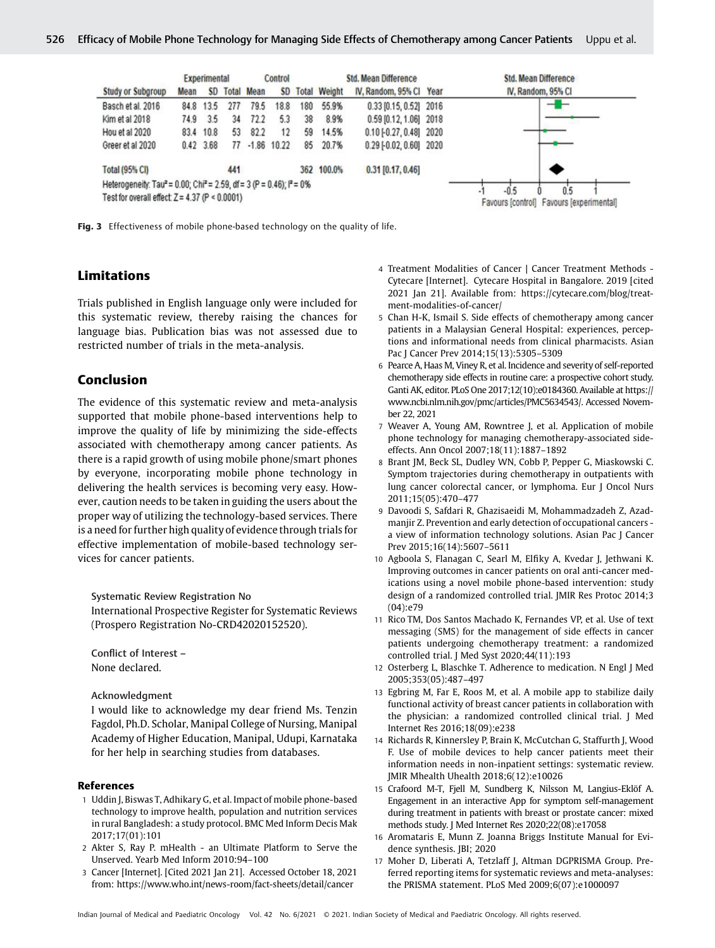|                                                                                            |      | <b>Experimental</b> |       |             | Control       |     |                     | <b>Std. Mean Difference</b>      | <b>Std. Mean Difference</b>                               |
|--------------------------------------------------------------------------------------------|------|---------------------|-------|-------------|---------------|-----|---------------------|----------------------------------|-----------------------------------------------------------|
| <b>Study or Subgroup</b>                                                                   | Mean | <b>SD</b>           | Total | <b>Mean</b> | <b>SD</b>     |     | <b>Total Weight</b> | IV, Random, 95% Cl Year          | IV, Random, 95% CI                                        |
| Basch et al. 2016                                                                          | 84.8 | 13.5                | 277   | 79.5        | 18.8          | 180 | 55.9%               | 0.33 [0.15, 0.52] 2016           |                                                           |
| Kim et al 2018                                                                             | 74.9 | 3.5                 | 34    | 72.2        | 5.3           | 38  | 8.9%                | 0.59 [0.12, 1.06] 2018           |                                                           |
| Hou et al 2020                                                                             | 83.4 | 10.8                | 53    | 82.2        | 12            | 59  | 14.5%               | 0.10 [-0.27, 0.48] 2020          |                                                           |
| Greer et al 2020                                                                           |      | $0.42$ 3.68         | 77    |             | $-1.86$ 10.22 | 85  | 20.7%               | $0.29$ [ $-0.02$ , $0.60$ ] 2020 |                                                           |
| <b>Total (95% CI)</b>                                                                      |      |                     | 441   |             |               | 362 | 100.0%              | $0.31$ [0.17, 0.46]              |                                                           |
| Heterogeneity: Tau <sup>2</sup> = 0.00; Chi <sup>2</sup> = 2.59, df = 3 (P = 0.46); P = 0% |      |                     |       |             |               |     |                     |                                  |                                                           |
| Test for overall effect: $Z = 4.37$ (P < 0.0001)                                           |      |                     |       |             |               |     |                     |                                  | $-0.5$<br>0.5<br>Favours [control] Favours [experimental] |

Fig. 3 Effectiveness of mobile phone-based technology on the quality of life.

# Limitations

Trials published in English language only were included for this systematic review, thereby raising the chances for language bias. Publication bias was not assessed due to restricted number of trials in the meta-analysis.

# Conclusion

The evidence of this systematic review and meta-analysis supported that mobile phone-based interventions help to improve the quality of life by minimizing the side-effects associated with chemotherapy among cancer patients. As there is a rapid growth of using mobile phone/smart phones by everyone, incorporating mobile phone technology in delivering the health services is becoming very easy. However, caution needs to be taken in guiding the users about the proper way of utilizing the technology-based services. There is a need for further high quality of evidence through trials for effective implementation of mobile-based technology services for cancer patients.

Systematic Review Registration No

International Prospective Register for Systematic Reviews (Prospero Registration No-CRD42020152520).

Conflict of Interest – None declared.

Acknowledgment

I would like to acknowledge my dear friend Ms. Tenzin Fagdol, Ph.D. Scholar, Manipal College of Nursing, Manipal Academy of Higher Education, Manipal, Udupi, Karnataka for her help in searching studies from databases.

#### References

- 1 Uddin J, Biswas T, Adhikary G, et al. Impact of mobile phone-based technology to improve health, population and nutrition services in rural Bangladesh: a study protocol. BMC Med Inform Decis Mak 2017;17(01):101
- 2 Akter S, Ray P. mHealth an Ultimate Platform to Serve the Unserved. Yearb Med Inform 2010:94–100
- 3 Cancer [Internet]. [Cited 2021 Jan 21]. Accessed October 18, 2021 from:<https://www.who.int/news-room/fact-sheets/detail/cancer>
- 4 Treatment Modalities of Cancer | Cancer Treatment Methods Cytecare [Internet]. Cytecare Hospital in Bangalore. 2019 [cited 2021 Jan 21]. Available from: [https://cytecare.com/blog/treat](https://cytecare.com/blog/treatment-modalities-of-cancer/)[ment-modalities-of-cancer/](https://cytecare.com/blog/treatment-modalities-of-cancer/)
- 5 Chan H-K, Ismail S. Side effects of chemotherapy among cancer patients in a Malaysian General Hospital: experiences, perceptions and informational needs from clinical pharmacists. Asian Pac J Cancer Prev 2014;15(13):5305–5309
- 6 Pearce A, Haas M, Viney R, et al. Incidence and severity of self-reported chemotherapy side effects in routine care: a prospective cohort study. Ganti AK, editor. PLoS One 2017;12(10):e0184360. Available at https:// www.ncbi.nlm.nih.gov/pmc/articles/PMC5634543/. Accessed November 22, 2021
- 7 Weaver A, Young AM, Rowntree J, et al. Application of mobile phone technology for managing chemotherapy-associated sideeffects. Ann Oncol 2007;18(11):1887–1892
- 8 Brant JM, Beck SL, Dudley WN, Cobb P, Pepper G, Miaskowski C. Symptom trajectories during chemotherapy in outpatients with lung cancer colorectal cancer, or lymphoma. Eur J Oncol Nurs 2011;15(05):470–477
- 9 Davoodi S, Safdari R, Ghazisaeidi M, Mohammadzadeh Z, Azadmanjir Z. Prevention and early detection of occupational cancers a view of information technology solutions. Asian Pac J Cancer Prev 2015;16(14):5607–5611
- 10 Agboola S, Flanagan C, Searl M, Elfiky A, Kvedar J, Jethwani K. Improving outcomes in cancer patients on oral anti-cancer medications using a novel mobile phone-based intervention: study design of a randomized controlled trial. JMIR Res Protoc 2014;3  $(04):e79$
- 11 Rico TM, Dos Santos Machado K, Fernandes VP, et al. Use of text messaging (SMS) for the management of side effects in cancer patients undergoing chemotherapy treatment: a randomized controlled trial. J Med Syst 2020;44(11):193
- 12 Osterberg L, Blaschke T. Adherence to medication. N Engl J Med 2005;353(05):487–497
- 13 Egbring M, Far E, Roos M, et al. A mobile app to stabilize daily functional activity of breast cancer patients in collaboration with the physician: a randomized controlled clinical trial. J Med Internet Res 2016;18(09):e238
- 14 Richards R, Kinnersley P, Brain K, McCutchan G, Staffurth J, Wood F. Use of mobile devices to help cancer patients meet their information needs in non-inpatient settings: systematic review. JMIR Mhealth Uhealth 2018;6(12):e10026
- 15 Crafoord M-T, Fjell M, Sundberg K, Nilsson M, Langius-Eklöf A. Engagement in an interactive App for symptom self-management during treatment in patients with breast or prostate cancer: mixed methods study. J Med Internet Res 2020;22(08):e17058
- 16 Aromataris E, Munn Z. Joanna Briggs Institute Manual for Evidence synthesis. JBI; 2020
- 17 Moher D, Liberati A, Tetzlaff J, Altman DGPRISMA Group. Preferred reporting items for systematic reviews and meta-analyses: the PRISMA statement. PLoS Med 2009;6(07):e1000097